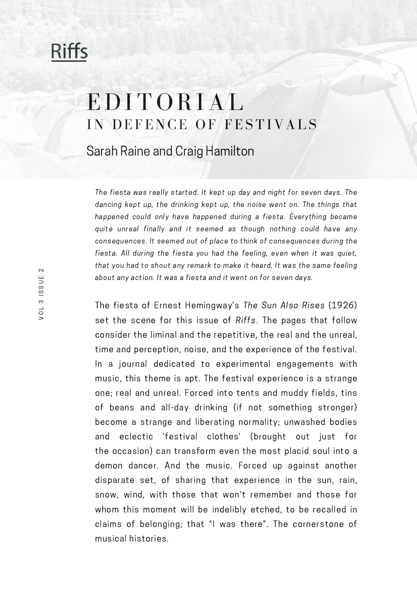## **Riffs**

## EDITORIAL IN DEFENCE OF FESTIVALS

Sarah Raine and Craig Hamilton

The fiesta was really started. It kept up day and night for seven days. The dancing kept up, the drinking kept up, the noise went on. The things that happened could only have happened during a fiesta. Everything became quite unreal finally and it seemed as though nothing could have any consequences. It seemed out of place to think of consequences during the fiesta. All during the fiesta you had the feeling, even when it was quiet, that you had to shout any remark to make it heard. It was the same feeling about any action. It was a fiesta and it went on for seven days.

The fiesta of Ernest Hemingway's The Sun Also Rises (1926) set the scene for this issue of Riffs. The pages that follow consider the liminal and the repetitive, the real and the unreal, time and perception, noise, and the experience of the festival. In a journal dedicated to experimental engagements with music, this theme is apt. The festival experience is a strange one; real and unreal. Forced into tents and muddy fields, tins of beans and all-day drinking (if not something stronger) become a strange and liberating normality; unwashed bodies and eclectic 'festival clothes' (brought out just for the occasion) can transform even the most placid soul into a demon dancer. And the music. Forced up against another disparate set, of sharing that experience in the sun, rain, snow, wind, with those that won't remember and those for whom this moment will be indelibly etched, to be recalled in claims of belonging; that "I was there". The cornerstone of musical histories.